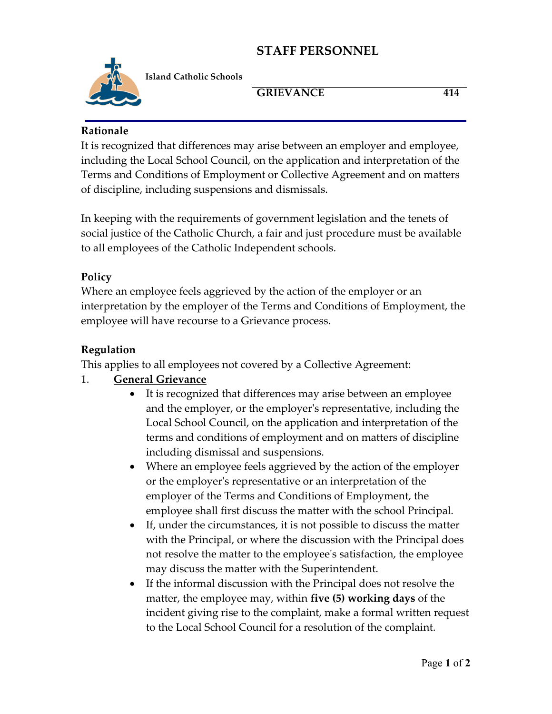# **STAFF PERSONNEL**



**Island Catholic Schools** 

#### GRIEVANCE 414

#### **Rationale**

It is recognized that differences may arise between an employer and employee, including the Local School Council, on the application and interpretation of the Terms and Conditions of Employment or Collective Agreement and on matters of discipline, including suspensions and dismissals.

In keeping with the requirements of government legislation and the tenets of social justice of the Catholic Church, a fair and just procedure must be available to all employees of the Catholic Independent schools.

## **Policy**

Where an employee feels aggrieved by the action of the employer or an interpretation by the employer of the Terms and Conditions of Employment, the employee will have recourse to a Grievance process.

## **Regulation**

This applies to all employees not covered by a Collective Agreement:

## 1. **General Grievance**

- It is recognized that differences may arise between an employee and the employer, or the employer's representative, including the Local School Council, on the application and interpretation of the terms and conditions of employment and on matters of discipline including dismissal and suspensions.
- Where an employee feels aggrieved by the action of the employer or the employer's representative or an interpretation of the employer of the Terms and Conditions of Employment, the employee shall first discuss the matter with the school Principal.
- If, under the circumstances, it is not possible to discuss the matter with the Principal, or where the discussion with the Principal does not resolve the matter to the employee's satisfaction, the employee may discuss the matter with the Superintendent.
- If the informal discussion with the Principal does not resolve the matter, the employee may, within **five (5) working days** of the incident giving rise to the complaint, make a formal written request to the Local School Council for a resolution of the complaint.